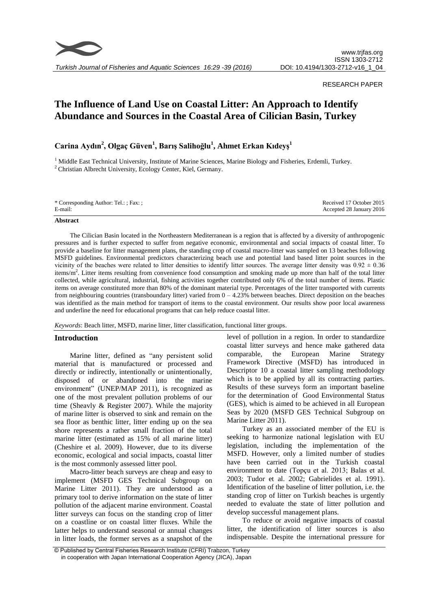

#### RESEARCH PAPER

# **The Influence of Land Use on Coastal Litter: An Approach to Identify Abundance and Sources in the Coastal Area of Cilician Basin, Turkey**

# **Carina Aydın<sup>2</sup> , Olgaç Güven<sup>1</sup> , Barış Salihoğlu<sup>1</sup> , Ahmet Erkan Kıdeyş<sup>1</sup>**

<sup>1</sup> Middle East Technical University, Institute of Marine Sciences, Marine Biology and Fisheries, Erdemli, Turkey. <sup>2</sup> Christian Albrecht University, Ecology Center, Kiel, Germany.

| * Corresponding Author: Tel.: ; Fax: ; | Received 17 October 2015 |
|----------------------------------------|--------------------------|
| E-mail:                                | Accepted 28 January 2016 |

#### **Abstract**

The Cilician Basin located in the Northeastern Mediterranean is a region that is affected by a diversity of anthropogenic pressures and is further expected to suffer from negative economic, environmental and social impacts of coastal litter. To provide a baseline for litter management plans, the standing crop of coastal macro-litter was sampled on 13 beaches following MSFD guidelines. Environmental predictors characterizing beach use and potential land based litter point sources in the vicinity of the beaches were related to litter densities to identify litter sources. The average litter density was  $0.92 \pm 0.36$ items/m<sup>2</sup>. Litter items resulting from convenience food consumption and smoking made up more than half of the total litter collected, while agricultural, industrial, fishing activities together contributed only 6% of the total number of items. Plastic items on average constituted more than 80% of the dominant material type. Percentages of the litter transported with currents from neighbouring countries (transboundary litter) varied from  $0 - 4.23\%$  between beaches. Direct deposition on the beaches was identified as the main method for transport of items to the coastal environment. Our results show poor local awareness and underline the need for educational programs that can help reduce coastal litter.

*Keywords*: Beach litter, MSFD, marine litter, litter classification, functional litter groups.

## **Introduction**

Marine litter, defined as "any persistent solid material that is manufactured or processed and directly or indirectly, intentionally or unintentionally, disposed of or abandoned into the marine environment" (UNEP/MAP 2011), is recognized as one of the most prevalent pollution problems of our time (Sheavly & Register 2007). While the majority of marine litter is observed to sink and remain on the sea floor as benthic litter, litter ending up on the sea shore represents a rather small fraction of the total marine litter (estimated as 15% of all marine litter) (Cheshire et al. 2009). However, due to its diverse economic, ecological and social impacts, coastal litter is the most commonly assessed litter pool.

Macro-litter beach surveys are cheap and easy to implement (MSFD GES Technical Subgroup on Marine Litter 2011). They are understood as a primary tool to derive information on the state of litter pollution of the adjacent marine environment. Coastal litter surveys can focus on the standing crop of litter on a coastline or on coastal litter fluxes. While the latter helps to understand seasonal or annual changes in litter loads, the former serves as a snapshot of the level of pollution in a region. In order to standardize coastal litter surveys and hence make gathered data comparable, the European Marine Strategy Framework Directive (MSFD) has introduced in Descriptor 10 a coastal litter sampling methodology which is to be applied by all its contracting parties. Results of these surveys form an important baseline for the determination of Good Environmental Status (GES), which is aimed to be achieved in all European Seas by 2020 (MSFD GES Technical Subgroup on Marine Litter 2011).

Turkey as an associated member of the EU is seeking to harmonize national legislation with EU legislation, including the implementation of the MSFD. However, only a limited number of studies have been carried out in the Turkish coastal environment to date (Topçu et al. 2013; Balas et al. 2003; Tudor et al. 2002; Gabrielides et al. 1991). Identification of the baseline of litter pollution, i.e. the standing crop of litter on Turkish beaches is urgently needed to evaluate the state of litter pollution and develop successful management plans.

To reduce or avoid negative impacts of coastal litter, the identification of litter sources is also indispensable. Despite the international pressure for

<sup>©</sup> Published by Central Fisheries Research Institute (CFRI) Trabzon, Turkey in cooperation with Japan International Cooperation Agency (JICA), Japan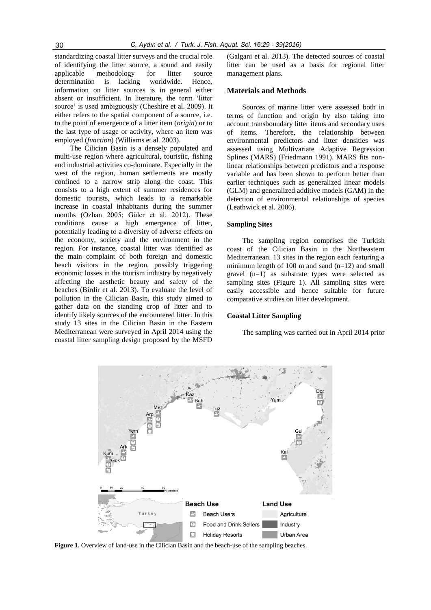standardizing coastal litter surveys and the crucial role of identifying the litter source, a sound and easily applicable methodology for litter source determination is lacking worldwide. Hence, information on litter sources is in general either absent or insufficient. In literature, the term 'litter source' is used ambiguously (Cheshire et al. 2009). It either refers to the spatial component of a source, i.e. to the point of emergence of a litter item (*origin*) or to the last type of usage or activity, where an item was employed (*function*) (Williams et al. 2003).

The Cilician Basin is a densely populated and multi-use region where agricultural, touristic, fishing and industrial activities co-dominate. Especially in the west of the region, human settlements are mostly confined to a narrow strip along the coast. This consists to a high extent of summer residences for domestic tourists, which leads to a remarkable increase in coastal inhabitants during the summer months (Ozhan 2005; Güler et al. 2012). These conditions cause a high emergence of litter, potentially leading to a diversity of adverse effects on the economy, society and the environment in the region. For instance, coastal litter was identified as the main complaint of both foreign and domestic beach visitors in the region, possibly triggering economic losses in the tourism industry by negatively affecting the aesthetic beauty and safety of the beaches (Birdir et al. 2013). To evaluate the level of pollution in the Cilician Basin, this study aimed to gather data on the standing crop of litter and to identify likely sources of the encountered litter. In this study 13 sites in the Cilician Basin in the Eastern Mediterranean were surveyed in April 2014 using the coastal litter sampling design proposed by the MSFD (Galgani et al. 2013). The detected sources of coastal litter can be used as a basis for regional litter management plans.

# **Materials and Methods**

Sources of marine litter were assessed both in terms of function and origin by also taking into account transboundary litter items and secondary uses of items. Therefore, the relationship between environmental predictors and litter densities was assessed using Multivariate Adaptive Regression Splines (MARS) (Friedmann 1991). MARS fits nonlinear relationships between predictors and a response variable and has been shown to perform better than earlier techniques such as generalized linear models (GLM) and generalized additive models (GAM) in the detection of environmental relationships of species (Leathwick et al. 2006).

#### **Sampling Sites**

The sampling region comprises the Turkish coast of the Cilician Basin in the Northeastern Mediterranean. 13 sites in the region each featuring a minimum length of 100 m and sand  $(n=12)$  and small gravel (n=1) as substrate types were selected as sampling sites (Figure 1). All sampling sites were easily accessible and hence suitable for future comparative studies on litter development.

#### **Coastal Litter Sampling**

The sampling was carried out in April 2014 prior



**Figure 1.** Overview of land-use in the Cilician Basin and the beach-use of the sampling beaches.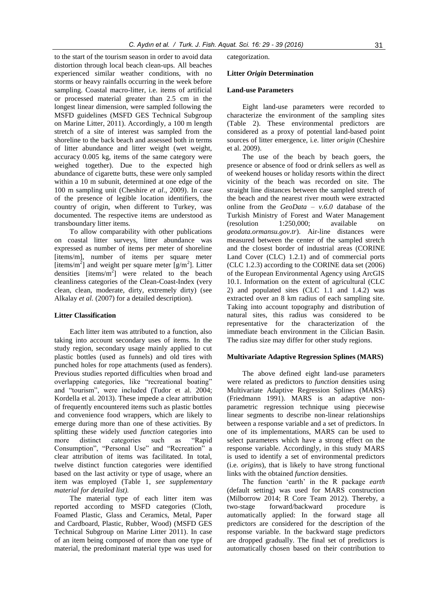to the start of the tourism season in order to avoid data distortion through local beach clean-ups. All beaches experienced similar weather conditions, with no storms or heavy rainfalls occurring in the week before sampling. Coastal macro-litter, i.e. items of artificial or processed material greater than 2.5 cm in the longest linear dimension, were sampled following the MSFD guidelines (MSFD GES Technical Subgroup on Marine Litter, 2011). Accordingly, a 100 m length stretch of a site of interest was sampled from the shoreline to the back beach and assessed both in terms of litter abundance and litter weight (wet weight, accuracy 0.005 kg, items of the same category were weighed together). Due to the expected high abundance of cigarette butts, these were only sampled within a 10 m subunit, determined at one edge of the 100 m sampling unit (Cheshire *et al*., 2009). In case of the presence of legible location identifiers, the country of origin, when different to Turkey, was documented. The respective items are understood as transboundary litter items.

To allow comparability with other publications on coastal litter surveys, litter abundance was expressed as number of items per meter of shoreline [items/m], number of items per square meter [items/m<sup>2</sup>] and weight per square meter  $[g/m^2]$ . Litter densities  $[i$ tems/m<sup>2</sup> $]$  were related to the beach cleanliness categories of the Clean-Coast-Index (very clean, clean, moderate, dirty, extremely dirty) (see Alkalay *et al.* (2007) for a detailed description).

#### **Litter Classification**

Each litter item was attributed to a function, also taking into account secondary uses of items. In the study region, secondary usage mainly applied to cut plastic bottles (used as funnels) and old tires with punched holes for rope attachments (used as fenders). Previous studies reported difficulties when broad and overlapping categories, like "recreational boating" and "tourism", were included (Tudor et al. 2004; Kordella et al. 2013). These impede a clear attribution of frequently encountered items such as plastic bottles and convenience food wrappers, which are likely to emerge during more than one of these activities. By splitting these widely used *function* categories into more distinct categories such as "Rapid" Consumption", "Personal Use" and "Recreation" a clear attribution of items was facilitated. In total, twelve distinct function categories were identified based on the last activity or type of usage, where an item was employed (Table 1, *see supplementary material for detailed list).*

The material type of each litter item was reported according to MSFD categories (Cloth, Foamed Plastic, Glass and Ceramics, Metal, Paper and Cardboard, Plastic, Rubber, Wood) (MSFD GES Technical Subgroup on Marine Litter 2011). In case of an item being composed of more than one type of material, the predominant material type was used for categorization.

#### **Litter** *Origin* **Determination**

#### **Land-use Parameters**

Eight land-use parameters were recorded to characterize the environment of the sampling sites (Table 2). These environmental predictors are considered as a proxy of potential land-based point sources of litter emergence, i.e. litter *origin* (Cheshire et al. 2009).

The use of the beach by beach goers, the presence or absence of food or drink sellers as well as of weekend houses or holiday resorts within the direct vicinity of the beach was recorded on site. The straight line distances between the sampled stretch of the beach and the nearest river mouth were extracted online from the *GeoData – v.6.0* database of the Turkish Ministry of Forest and Water Management (resolution 1:250,000; available on *geodata.ormansu.gov.tr*). Air-line distances were measured between the center of the sampled stretch and the closest border of industrial areas (CORINE Land Cover (CLC) 1.2.1) and of commercial ports (CLC 1.2.3) according to the CORINE data set (2006) of the European Environmental Agency using ArcGIS 10.1. Information on the extent of agricultural (CLC 2) and populated sites (CLC 1.1 and 1.4.2) was extracted over an 8 km radius of each sampling site. Taking into account topography and distribution of natural sites, this radius was considered to be representative for the characterization of the immediate beach environment in the Cilician Basin. The radius size may differ for other study regions.

#### **Multivariate Adaptive Regression Splines (MARS)**

The above defined eight land-use parameters were related as predictors to *function* densities using Multivariate Adaptive Regression Splines (MARS) (Friedmann 1991). MARS is an adaptive nonparametric regression technique using piecewise linear segments to describe non-linear relationships between a response variable and a set of predictors. In one of its implementations, MARS can be used to select parameters which have a strong effect on the response variable. Accordingly, in this study MARS is used to identify a set of environmental predictors (i.e. *origins*), that is likely to have strong functional links with the obtained *function* densities.

The function 'earth' in the R package *earth* (default setting) was used for MARS construction (Milborrow 2014; R Core Team 2012). Thereby, a two-stage forward/backward procedure is automatically applied: In the forward stage all predictors are considered for the description of the response variable. In the backward stage predictors are dropped gradually. The final set of predictors is automatically chosen based on their contribution to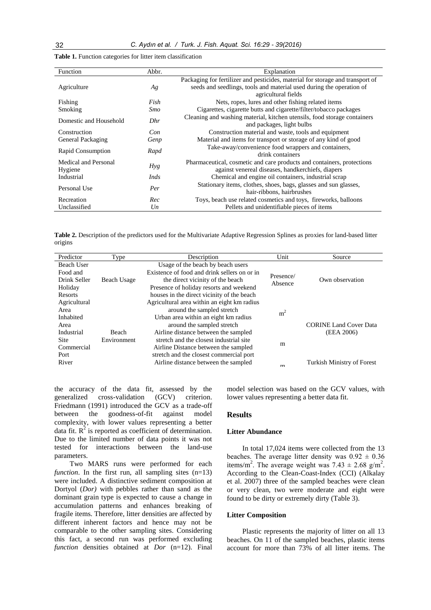| <b>Function</b>        | Abbr.      | Explanation                                                                    |
|------------------------|------------|--------------------------------------------------------------------------------|
|                        |            | Packaging for fertilizer and pesticides, material for storage and transport of |
| Agriculture            | Ag         | seeds and seedlings, tools and material used during the operation of           |
|                        |            | agricultural fields                                                            |
| Fishing                | Fish       | Nets, ropes, lures and other fishing related items                             |
| Smoking                | Smo        | Cigarettes, cigarette butts and cigarette/filter/tobacco packages              |
| Domestic and Household | Dhr        | Cleaning and washing material, kitchen utensils, food storage containers       |
|                        |            | and packages, light bulbs                                                      |
| Construction           | Con        | Construction material and waste, tools and equipment                           |
| General Packaging      | Genp       | Material and items for transport or storage of any kind of good                |
| Rapid Consumption      | Rapd       | Take-away/convenience food wrappers and containers,                            |
|                        |            | drink containers                                                               |
| Medical and Personal   | <b>Hyg</b> | Pharmaceutical, cosmetic and care products and containers, protections         |
| Hygiene                |            | against venereal diseases, handkerchiefs, diapers                              |
| Industrial             | Inds       | Chemical and engine oil containers, industrial scrap                           |
| Personal Use           | Per        | Stationary items, clothes, shoes, bags, glasses and sun glasses,               |
|                        |            | hair-ribbons, hairbrushes                                                      |
| Recreation             | Rec        | Toys, beach use related cosmetics and toys, fireworks, balloons                |
| Unclassified           | Un         | Pellets and unidentifiable pieces of items                                     |

#### **Table 1.** Function categories for litter item classification

**Table 2.** Description of the predictors used for the Multivariate Adaptive Regression Splines as proxies for land-based litter origins

| Predictor    | Type        | Description                                  | Unit           | Source                            |
|--------------|-------------|----------------------------------------------|----------------|-----------------------------------|
| Beach User   |             | Usage of the beach by beach users            |                |                                   |
| Food and     |             | Existence of food and drink sellers on or in | Presence/      |                                   |
| Drink Seller | Beach Usage | the direct vicinity of the beach             | Absence        | Own observation                   |
| Holiday      |             | Presence of holiday resorts and weekend      |                |                                   |
| Resorts      |             | houses in the direct vicinity of the beach   |                |                                   |
| Agricultural |             | Agricultural area within an eight km radius  |                |                                   |
| Area         |             | around the sampled stretch                   | m <sup>2</sup> |                                   |
| Inhabited    |             | Urban area within an eight km radius         |                |                                   |
| Area         |             | around the sampled stretch                   |                | <b>CORINE Land Cover Data</b>     |
| Industrial   | Beach       | Airline distance between the sampled         |                | (EEA 2006)                        |
| <b>Site</b>  | Environment | stretch and the closest industrial site      |                |                                   |
| Commercial   |             | Airline Distance between the sampled         | m              |                                   |
| Port         |             | stretch and the closest commercial port      |                |                                   |
| River        |             | Airline distance between the sampled         | m              | <b>Turkish Ministry of Forest</b> |
|              |             |                                              |                |                                   |

the accuracy of the data fit, assessed by the generalized cross-validation (GCV) criterion. Friedmann (1991) introduced the GCV as a trade-off between the goodness-of-fit against model complexity, with lower values representing a better data fit.  $R^2$  is reported as coefficient of determination. Due to the limited number of data points it was not tested for interactions between the land-use parameters.

Two MARS runs were performed for each *function*. In the first run, all sampling sites (n=13) were included. A distinctive sediment composition at Dortyol (*Dor)* with pebbles rather than sand as the dominant grain type is expected to cause a change in accumulation patterns and enhances breaking of fragile items. Therefore, litter densities are affected by different inherent factors and hence may not be comparable to the other sampling sites. Considering this fact, a second run was performed excluding *function* densities obtained at *Dor* (n=12). Final

model selection was based on the GCV values, with lower values representing a better data fit.

#### **Results**

#### **Litter Abundance**

In total 17,024 items were collected from the 13 beaches. The average litter density was  $0.92 \pm 0.36$ items/m<sup>2</sup>. The average weight was  $7.43 \pm 2.68$  g/m<sup>2</sup>. According to the Clean-Coast-Index (CCI) (Alkalay et al. 2007) three of the sampled beaches were clean or very clean, two were moderate and eight were found to be dirty or extremely dirty (Table 3).

#### **Litter Composition**

Plastic represents the majority of litter on all 13 beaches. On 11 of the sampled beaches, plastic items account for more than 73% of all litter items. The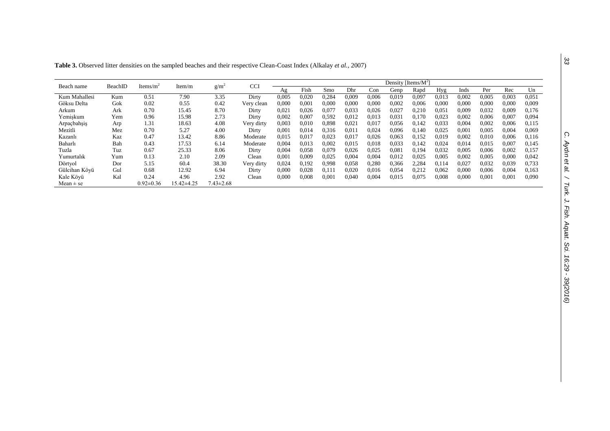|                       |              |                 |            |                 |            |       |       |       |       |       | Density [Items/ $M^2$ ] |       |       |       |       |       |       |
|-----------------------|--------------|-----------------|------------|-----------------|------------|-------|-------|-------|-------|-------|-------------------------|-------|-------|-------|-------|-------|-------|
| BeachID<br>Beach name | Items/ $m^2$ | Item/m          | $g/m^2$    | <b>CCI</b>      | Ag         | Fish  | Smo   | Dhr   | Con   | Genp  | Rapd                    | Hyg   | Inds  | Per   | Rec   | Un    |       |
| Kum Mahallesi         | Kum          | 0.51            | 7.90       | 3.35            | Dirty      | 0,005 | 0,020 | 0,284 | 0,009 | 0,006 | 0.019                   | 0,097 | 0,013 | 0,002 | 0,005 | 0,003 | 0,051 |
| Göksu Delta           | Gok          | 0.02            | 0.55       | 0.42            | Very clean | 0,000 | 0,001 | 0,000 | 0,000 | 0,000 | 0,002                   | 0,006 | 0,000 | 0,000 | 0.000 | 0,000 | 0.009 |
| Arkum                 | Ark          | 0.70            | 15.45      | 8.70            | Dirty      | 0.021 | 0.026 | 0,077 | 0.033 | 0.026 | 0.027                   | 0,210 | 0,051 | 0,009 | 0.032 | 0,009 | 0,176 |
| Yemiskum              | Yem          | 0.96            | 15.98      | 2.73            | Dirty      | 0,002 | 0,007 | 0,592 | 0.012 | 0.013 | 0,031                   | 0,170 | 0,023 | 0,002 | 0,006 | 0,007 | 0,094 |
| Arpaçbahşiş           | Arp          | 1.31            | 18.63      | 4.08            | Very dirty | 0,003 | 0,010 | 0,898 | 0,021 | 0,017 | 0,056                   | 0,142 | 0,033 | 0,004 | 0,002 | 0,006 | 0,115 |
| Mezitli               | Mez          | 0.70            | 5.27       | 4.00            | Dirty      | 0,001 | 0,014 | 0,316 | 0.011 | 0.024 | 0,096                   | 0,140 | 0.025 | 0,001 | 0,005 | 0,004 | 0.069 |
| Kazanlı               | Kaz          | 0.47            | 13.42      | 8.86            | Moderate   | 0.015 | 0,017 | 0,023 | 0,017 | 0.026 | 0.063                   | 0,152 | 0.019 | 0,002 | 0,010 | 0,006 | 0,116 |
| Baharlı               | Bah          | 0.43            | 17.53      | 6.14            | Moderate   | 0,004 | 0,013 | 0,002 | 0.015 | 0.018 | 0.033                   | 0,142 | 0,024 | 0,014 | 0.015 | 0,007 | 0,145 |
| Tuzla                 | Tuz          | 0.67            | 25.33      | 8.06            | Dirty      | 0,004 | 0,058 | 0,079 | 0,026 | 0,025 | 0,081                   | 0,194 | 0,032 | 0,005 | 0,006 | 0,002 | 0,157 |
| Yumurtalık            | Yum          | 0.13            | 2.10       | 2.09            | Clean      | 0.001 | 0.009 | 0,025 | 0.004 | 0.004 | 0,012                   | 0,025 | 0.005 | 0,002 | 0,005 | 0,000 | 0.042 |
| Dörtyol               | Dor          | 5.15            | 60.4       | 38.30           | Very dirty | 0,024 | 0,192 | 0,998 | 0,058 | 0,280 | 0.366                   | 2,284 | 0.114 | 0,027 | 0.032 | 0.039 | 0,733 |
| Gülcihan Kövü         | Gul          | 0.68            | 12.92      | 6.94            | Dirty      | 0,000 | 0,028 | 0,111 | 0,020 | 0.016 | 0,054                   | 0,212 | 0,062 | 0.000 | 0,006 | 0,004 | 0,163 |
| Kale Kövü             | Kal          | 0.24            | 4.96       | 2.92            | Clean      | 0,000 | 0,008 | 0,001 | 0,040 | 0,004 | 0.015                   | 0,075 | 0,008 | 0,000 | 0,001 | 0,001 | 0,090 |
| Mean $\pm$ se         |              | $0.92 \pm 0.36$ | 15.42±4.25 | $7.43 \pm 2.68$ |            |       |       |       |       |       |                         |       |       |       |       |       |       |

**Table 3.** Observed litter densities on the sampled beaches and their respective Clean-Coast Index (Alkalay *et al.,* 2007)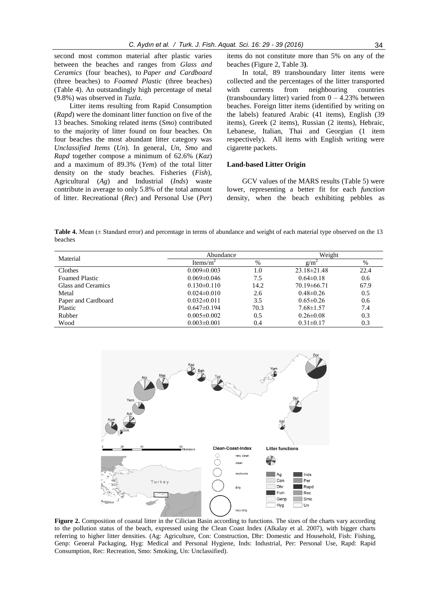second most common material after plastic varies between the beaches and ranges from *Glass and Ceramics* (four beaches), to *Paper and Cardboard* (three beaches) to *Foamed Plastic* (three beaches) (Table 4). An outstandingly high percentage of metal (9.8%) was observed in *Tuzla*.

Litter items resulting from Rapid Consumption (*Rapd*) were the dominant litter function on five of the 13 beaches. Smoking related items (*Smo*) contributed to the majority of litter found on four beaches. On four beaches the most abundant litter category was *Unclassified Items* (*Un*). In general, *Un, Smo* and *Rapd* together compose a minimum of 62.6% (*Kaz*) and a maximum of 89.3% (*Yem*) of the total litter density on the study beaches. Fisheries (*Fish*), Agricultural (*Ag*) and Industrial (*Inds*) waste contribute in average to only 5.8% of the total amount of litter. Recreational (*Rec*) and Personal Use (*Per*) items do not constitute more than 5% on any of the beaches (Figure 2, Table 3**)**.

In total, 89 transboundary litter items were collected and the percentages of the litter transported with currents from neighbouring countries (transboundary litter) varied from  $0 - 4.23%$  between beaches. Foreign litter items (identified by writing on the labels) featured Arabic (41 items), English (39 items), Greek (2 items), Russian (2 items), Hebraic, Lebanese, Italian, Thai and Georgian (1 item respectively). All items with English writing were cigarette packets.

#### **Land-based Litter Origin**

GCV values of the MARS results (Table 5) were lower, representing a better fit for each *function* density, when the beach exhibiting pebbles as

**Table 4.** Mean ( $\pm$  Standard error) and percentage in terms of abundance and weight of each material type observed on the 13 beaches

| Material              | Abundance                                | Weight |                   |      |
|-----------------------|------------------------------------------|--------|-------------------|------|
|                       | Items/m <sup><math>\epsilon</math></sup> | %      | $g/m^2$           | %    |
| Clothes               | $0.009 \pm 0.003$                        | 1.0    | $23.18 \pm 21.48$ | 22.4 |
| <b>Foamed Plastic</b> | $0.069 \pm 0.046$                        | 7.5    | $0.64 \pm 0.18$   | 0.6  |
| Glass and Ceramics    | $0.130 \pm 0.110$                        | 14.2   | $70.19 \pm 66.71$ | 67.9 |
| Metal                 | $0.024 \pm 0.010$                        | 2.6    | $0.48 \pm 0.26$   | 0.5  |
| Paper and Cardboard   | $0.032 \pm 0.011$                        | 3.5    | $0.65 \pm 0.26$   | 0.6  |
| Plastic               | $0.647 \pm 0.194$                        | 70.3   | $7.68 \pm 1.57$   | 7.4  |
| Rubber                | $0.005 \pm 0.002$                        | 0.5    | $0.26 \pm 0.08$   | 0.3  |
| Wood                  | $0.003 \pm 0.001$                        | 0.4    | $0.31 \pm 0.17$   | 0.3  |



**Figure 2.** Composition of coastal litter in the Cilician Basin according to functions. The sizes of the charts vary according to the pollution status of the beach, expressed using the Clean Coast Index (Alkalay et al. 2007), with bigger charts referring to higher litter densities. (Ag: Agriculture, Con: Construction, Dhr: Domestic and Household, Fish: Fishing, Genp: General Packaging, Hyg: Medical and Personal Hygiene, Inds: Industrial, Per: Personal Use, Rapd: Rapid Consumption, Rec: Recreation, Smo: Smoking, Un: Unclassified).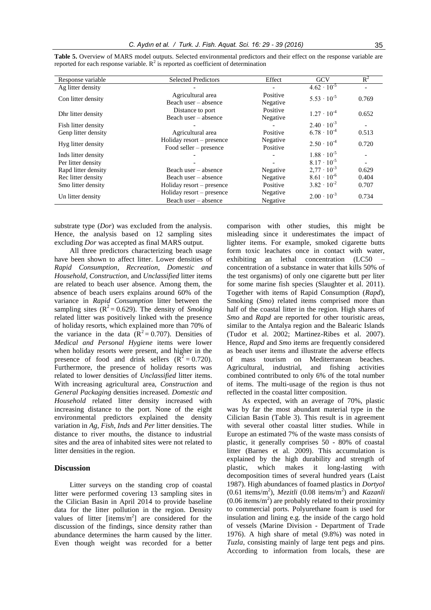| Response variable   | <b>Selected Predictors</b>                          | Effect               | <b>GCV</b>           | $R^2$ |
|---------------------|-----------------------------------------------------|----------------------|----------------------|-------|
| Ag litter density   |                                                     |                      | $4.62 \cdot 10^{-5}$ |       |
| Con litter density  | Agricultural area<br>Beach user – absence           | Positive<br>Negative | $5.53 \cdot 10^{-5}$ | 0.769 |
| Dhr litter density  | Distance to port<br>Beach user – absence            | Positive<br>Negative | $1.27 \cdot 10^{-4}$ | 0.652 |
| Fish litter density |                                                     |                      | $2.40 \cdot 10^{-3}$ |       |
| Genp litter density | Agricultural area                                   | Positive             | $6.78 \cdot 10^{-4}$ | 0.513 |
| Hyg litter density  | Holiday resort – presence<br>Food seller – presence | Negative<br>Positive | $2.50 \cdot 10^{-4}$ | 0.720 |
| Inds litter density |                                                     |                      | $1.88 \cdot 10^{-5}$ |       |
| Per litter density  |                                                     |                      | $8.17 \cdot 10^{-5}$ |       |
| Rapd litter density | Beach user – absence                                | Negative             | $2,77 \cdot 10^{-3}$ | 0.629 |
| Rec litter density  | Beach user – absence                                | Negative             | $8.61 \cdot 10^{-6}$ | 0.404 |
| Smo litter density  | Holiday resort – presence                           | Positive             | $3.82 \cdot 10^{-2}$ | 0.707 |
| Un litter density   | Holiday resort – presence<br>Beach user – absence   | Negative<br>Negative | $2.00 \cdot 10^{-3}$ | 0.734 |

**Table 5.** Overview of MARS model outputs. Selected environmental predictors and their effect on the response variable are reported for each response variable.  $\mathbb{R}^2$  is reported as coefficient of determination

substrate type (*Dor*) was excluded from the analysis. Hence, the analysis based on 12 sampling sites excluding *Dor* was accepted as final MARS output.

All three predictors characterizing beach usage have been shown to affect litter. Lower densities of *Rapid Consumption*, *Recreation*, *Domestic and Household*, *Construction*, and *Unclassified* litter items are related to beach user absence. Among them, the absence of beach users explains around 60% of the variance in *Rapid Consumption* litter between the sampling sites  $(R^2 = 0.629)$ . The density of *Smoking* related litter was positively linked with the presence of holiday resorts, which explained more than 70% of the variance in the data  $(R^2 = 0.707)$ . Densities of *Medical and Personal Hygiene* items were lower when holiday resorts were present, and higher in the presence of food and drink sellers  $(R^2 = 0.720)$ . Furthermore, the presence of holiday resorts was related to lower densities of *Unclassified* litter items. With increasing agricultural area, *Construction* and *General Packaging* densities increased. *Domestic and Household* related litter density increased with increasing distance to the port. None of the eight environmental predictors explained the density variation in *Ag*, *Fish*, *Inds* and *Per* litter densities. The distance to river mouths, the distance to industrial sites and the area of inhabited sites were not related to litter densities in the region.

#### **Discussion**

Litter surveys on the standing crop of coastal litter were performed covering 13 sampling sites in the Cilician Basin in April 2014 to provide baseline data for the litter pollution in the region. Density values of litter [items/ $m<sup>2</sup>$ ] are considered for the discussion of the findings, since density rather than abundance determines the harm caused by the litter. Even though weight was recorded for a better

comparison with other studies, this might be misleading since it underestimates the impact of lighter items. For example, smoked cigarette butts form toxic leachates once in contact with water, exhibiting an lethal concentration (LC50 concentration of a substance in water that kills 50% of the test organisms) of only one cigarette butt per liter for some marine fish species (Slaughter et al. 2011). Together with items of Rapid Consumption (*Rapd*), Smoking (*Smo*) related items comprised more than half of the coastal litter in the region. High shares of *Smo* and *Rapd* are reported for other touristic areas, similar to the Antalya region and the Balearic Islands (Tudor et al. 2002; Martinez-Ribes et al. 2007). Hence, *Rapd* and *Smo* items are frequently considered as beach user items and illustrate the adverse effects of mass tourism on Mediterranean beaches. Agricultural, industrial, and fishing activities combined contributed to only 6% of the total number of items. The multi-usage of the region is thus not reflected in the coastal litter composition.

As expected, with an average of 70%, plastic was by far the most abundant material type in the Cilician Basin (Table 3). This result is in agreement with several other coastal litter studies. While in Europe an estimated 7% of the waste mass consists of plastic, it generally comprises 50 - 80% of coastal litter (Barnes et al. 2009). This accumulation is explained by the high durability and strength of plastic, which makes it long-lasting with decomposition times of several hundred years (Laist 1987). High abundances of foamed plastics in *Dortyol*  $(0.61$  items/m<sup>2</sup>), *Mezitli*  $(0.08$  items/m<sup>2</sup>) and *Kazanli*  $(0.06$  items/m<sup>2</sup>) are probably related to their proximity to commercial ports. Polyurethane foam is used for insulation and lining e.g. the inside of the cargo hold of vessels (Marine Division - Department of Trade 1976). A high share of metal (9.8%) was noted in *Tuzla*, consisting mainly of large tent pegs and pins. According to information from locals, these are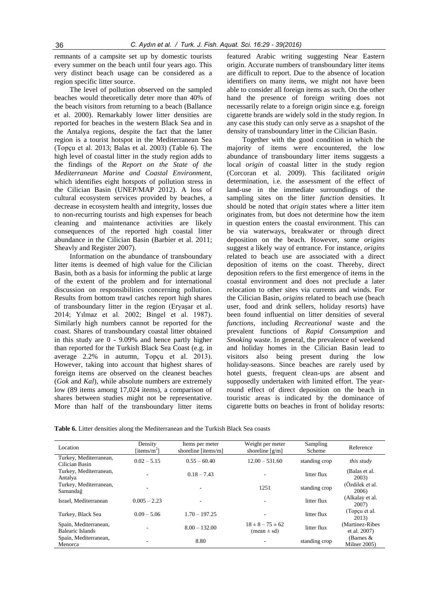remnants of a campsite set up by domestic tourists every summer on the beach until four years ago. This very distinct beach usage can be considered as a region specific litter source.

The level of pollution observed on the sampled beaches would theoretically deter more than 40% of the beach visitors from returning to a beach (Ballance et al. 2000). Remarkably lower litter densities are reported for beaches in the western Black Sea and in the Antalya regions, despite the fact that the latter region is a tourist hotspot in the Mediterranean Sea (Topçu et al. 2013; Balas et al. 2003) (Table 6). The high level of coastal litter in the study region adds to the findings of the *Report on the State of the Mediterranean Marine and Coastal Environment*, which identifies eight hotspots of pollution stress in the Cilician Basin (UNEP/MAP 2012). A loss of cultural ecosystem services provided by beaches, a decrease in ecosystem health and integrity, losses due to non-recurring tourists and high expenses for beach cleaning and maintenance activities are likely consequences of the reported high coastal litter abundance in the Cilician Basin (Barbier et al. 2011; Sheavly and Register 2007).

Information on the abundance of transboundary litter items is deemed of high value for the Cilician Basin, both as a basis for informing the public at large of the extent of the problem and for international discussion on responsibilities concerning pollution. Results from bottom trawl catches report high shares of transboundary litter in the region (Eryaşar et al. 2014; Yılmaz et al. 2002; Bingel et al. 1987). Similarly high numbers cannot be reported for the coast. Shares of transboundary coastal litter obtained in this study are 0 - 9.09% and hence partly higher than reported for the Turkish Black Sea Coast (e.g. in average 2.2% in autumn, Topçu et al. 2013). However, taking into account that highest shares of foreign items are observed on the cleanest beaches (*Gok* and *Kal*), while absolute numbers are extremely low (89 items among 17,024 items), a comparison of shares between studies might not be representative. More than half of the transboundary litter items

featured Arabic writing suggesting Near Eastern origin. Accurate numbers of transboundary litter items are difficult to report. Due to the absence of location identifiers on many items, we might not have been able to consider all foreign items as such. On the other hand the presence of foreign writing does not necessarily relate to a foreign origin since e.g. foreign cigarette brands are widely sold in the study region. In any case this study can only serve as a snapshot of the density of transboundary litter in the Cilician Basin.

Together with the good condition in which the majority of items were encountered, the low abundance of transboundary litter items suggests a local *origin* of coastal litter in the study region (Corcoran et al. 2009). This facilitated *origin* determination, i.e. the assessment of the effect of land-use in the immediate surroundings of the sampling sites on the litter *function* densities. It should be noted that *origin* states where a litter item originates from, but does not determine how the item in question enters the coastal environment. This can be via waterways, breakwater or through direct deposition on the beach. However, some *origins* suggest a likely way of entrance. For instance, *origins* related to beach use are associated with a direct deposition of items on the coast. Thereby, direct deposition refers to the first emergence of items in the coastal environment and does not preclude a later relocation to other sites via currents and winds. For the Cilician Basin, *origins* related to beach use (beach user, food and drink sellers, holiday resorts) have been found influential on litter densities of several *functions,* including *Recreational* waste and the prevalent functions of *Rapid Consumption* and *Smoking* waste. In general, the prevalence of weekend and holiday homes in the Cilician Basin lead to visitors also being present during the low holiday-seasons. Since beaches are rarely used by hotel guests, frequent clean-ups are absent and supposedly undertaken with limited effort. The yearround effect of direct deposition on the beach in touristic areas is indicated by the dominance of cigarette butts on beaches in front of holiday resorts:

**Table 6.** Litter densities along the Mediterranean and the Turkish Black Sea coasts

| Location                                  | Density<br>[items/m <sup>2</sup> ] | Items per meter<br>shoreline [items/m] | Weight per meter<br>shoreline $\left[\frac{g}{m}\right]$ | Sampling<br>Scheme | Reference                       |
|-------------------------------------------|------------------------------------|----------------------------------------|----------------------------------------------------------|--------------------|---------------------------------|
| Turkey, Mediterranean,<br>Cilician Basin  | $0.02 - 5.15$                      | $0.55 - 60.40$                         | $12.00 - 531.60$                                         | standing crop      | this study                      |
| Turkey, Mediterranean,<br>Antalya         |                                    | $0.18 - 7.43$                          |                                                          | litter flux        | (Balas et al.<br>2003)          |
| Turkey, Mediterranean,<br>Samandağ        | -                                  | 1251<br>$\overline{\phantom{a}}$       |                                                          | standing crop      | (Özdilek et al.<br>2006)        |
| Israel, Mediterranean                     | $0.005 - 2.23$                     |                                        | ٠                                                        | litter flux        | (Alkalay et al.<br>2007)        |
| Turkey, Black Sea                         | $0.09 - 5.06$                      | $1.70 - 197.25$                        |                                                          | litter flux        | (Topçu et al.<br>2013)          |
| Spain, Mediterranean,<br>Balearic Islands |                                    | $8.00 - 132.00$                        | $18 \pm 8 - 75 \pm 62$<br>$(mean \pm sd)$                | litter flux        | (Martinez-Ribes<br>et al. 2007) |
| Spain, Mediterranean,<br>Menorca          |                                    | 8.80                                   |                                                          | standing crop      | (Barnes $&$<br>Milner $2005$ )  |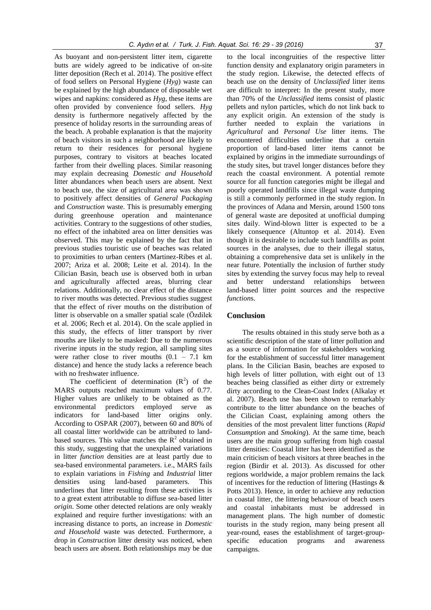As buoyant and non-persistent litter item, cigarette butts are widely agreed to be indicative of on-site litter deposition (Rech et al. 2014). The positive effect of food sellers on Personal Hygiene (*Hyg*) waste can be explained by the high abundance of disposable wet wipes and napkins: considered as *Hyg*, these items are often provided by convenience food sellers. *Hyg*  density is furthermore negatively affected by the presence of holiday resorts in the surrounding areas of the beach. A probable explanation is that the majority of beach visitors in such a neighborhood are likely to return to their residences for personal hygiene purposes, contrary to visitors at beaches located farther from their dwelling places. Similar reasoning may explain decreasing *Domestic and Household* litter abundances when beach users are absent. Next to beach use, the size of agricultural area was shown to positively affect densities of *General Packaging* and *Construction* waste. This is presumably emerging during greenhouse operation and maintenance activities. Contrary to the suggestions of other studies, no effect of the inhabited area on litter densities was observed. This may be explained by the fact that in previous studies touristic use of beaches was related to proximities to urban centers (Martinez-Ribes et al. 2007; Ariza et al. 2008; Leite et al. 2014). In the Cilician Basin, beach use is observed both in urban and agriculturally affected areas, blurring clear relations. Additionally, no clear effect of the distance to river mouths was detected. Previous studies suggest that the effect of river mouths on the distribution of litter is observable on a smaller spatial scale (Özdilek et al. 2006; Rech et al. 2014). On the scale applied in this study, the effects of litter transport by river mouths are likely to be masked: Due to the numerous riverine inputs in the study region, all sampling sites were rather close to river mouths  $(0.1 - 7.1 \text{ km})$ distance) and hence the study lacks a reference beach with no freshwater influence.

The coefficient of determination  $(R^2)$  of the MARS outputs reached maximum values of 0.77. Higher values are unlikely to be obtained as the environmental predictors employed serve as indicators for land-based litter origins only. According to OSPAR (2007), between 60 and 80% of all coastal litter worldwide can be attributed to landbased sources. This value matches the  $R^2$  obtained in this study, suggesting that the unexplained variations in litter *function* densities are at least partly due to sea-based environmental parameters. i.e., MARS fails to explain variations in *Fishing* and *Industrial* litter densities using land-based parameters. This underlines that litter resulting from these activities is to a great extent attributable to diffuse sea-based litter *origin*. Some other detected relations are only weakly explained and require further investigations: with an increasing distance to ports, an increase in *Domestic and Household* waste was detected. Furthermore, a drop in *Construction* litter density was noticed, when beach users are absent. Both relationships may be due

to the local incongruities of the respective litter function density and explanatory origin parameters in the study region. Likewise, the detected effects of beach use on the density of *Unclassified* litter items are difficult to interpret: In the present study, more than 70% of the *Unclassified* items consist of plastic pellets and nylon particles, which do not link back to any explicit origin. An extension of the study is further needed to explain the variations in *Agricultural* and *Personal Use* litter items. The encountered difficulties underline that a certain proportion of land-based litter items cannot be explained by origins in the immediate surroundings of the study sites, but travel longer distances before they reach the coastal environment. A potential remote source for all function categories might be illegal and poorly operated landfills since illegal waste dumping is still a commonly performed in the study region. In the provinces of Adana and Mersin, around 1500 tons of general waste are deposited at unofficial dumping sites daily. Wind-blown litter is expected to be a likely consequence (Altuntop et al. 2014). Even though it is desirable to include such landfills as point sources in the analyses, due to their illegal status, obtaining a comprehensive data set is unlikely in the near future. Potentially the inclusion of further study sites by extending the survey focus may help to reveal and better understand relationships between land-based litter point sources and the respective *function*s.

## **Conclusion**

The results obtained in this study serve both as a scientific description of the state of litter pollution and as a source of information for stakeholders working for the establishment of successful litter management plans. In the Cilician Basin, beaches are exposed to high levels of litter pollution, with eight out of 13 beaches being classified as either dirty or extremely dirty according to the Clean-Coast Index (Alkalay et al. 2007). Beach use has been shown to remarkably contribute to the litter abundance on the beaches of the Cilician Coast, explaining among others the densities of the most prevalent litter functions (*Rapid Consumption* and *Smoking*). At the same time, beach users are the main group suffering from high coastal litter densities: Coastal litter has been identified as the main criticism of beach visitors at three beaches in the region (Birdir et al. 2013). As discussed for other regions worldwide, a major problem remains the lack of incentives for the reduction of littering (Hastings & Potts 2013). Hence, in order to achieve any reduction in coastal litter, the littering behaviour of beach users and coastal inhabitants must be addressed in management plans. The high number of domestic tourists in the study region, many being present all year-round, eases the establishment of target-groupspecific education programs and awareness campaigns.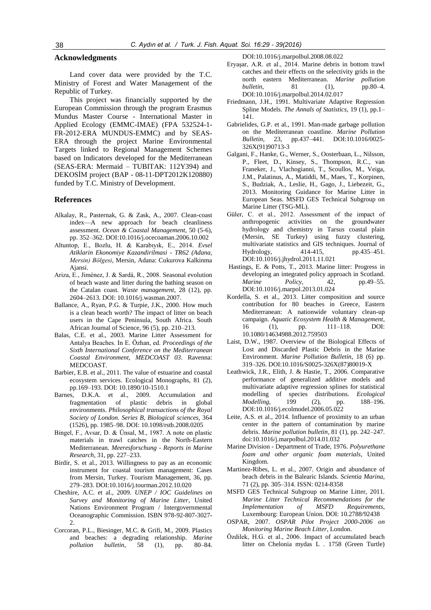#### **Acknowledgments**

Land cover data were provided by the T.C. Ministry of Forest and Water Management of the Republic of Turkey.

This project was financially supported by the European Commission through the program Erasmus Mundus Master Course - International Master in Applied Ecology (EMMC-IMAE) (FPA 532524-1- FR-2012-ERA MUNDUS-EMMC) and by SEAS-ERA through the project Marine Environmental Targets linked to Regional Management Schemes based on Indicators developed for the Mediterranean (SEAS-ERA: Mermaid – TUBITAK: 112Y394) and DEKOSİM project (BAP - 08-11-DPT2012K120880) funded by T.C. Ministry of Development.

#### **References**

- Alkalay, R., Pasternak, G. & Zask, A., 2007. Clean-coast index—A new approach for beach cleanliness assessment. *Ocean & Coastal Management*, 50 (5-6), pp. 352–362. DOI:10.1016/j.ocecoaman.2006.10.002
- Altuntop, E., Bozlu, H. & Karabıyık, E., 2014. *Evsel Atiklarin Ekonomiye Kazandirilmasi - TR62 (Adana, Mersin) Bölgesi*, Mersin, Adana: Cukurova Kalkinma Ajansi.
- Ariza, E., Jiménez, J. & Sardá, R., 2008. Seasonal evolution of beach waste and litter during the bathing season on the Catalan coast. *Waste management*, 28 (12), pp. 2604–2613. DOI: 10.1016/j.wasman.2007.
- Ballance, A., Ryan, P.G. & Turpie, J.K., 2000. How much is a clean beach worth? The impact of litter on beach users in the Cape Peninsula, South Africa. South African Journal of Science, 96 (5), pp. 210–213.
- Balas, C.E. et al., 2003. Marine Litter Assessment for Antalya Beaches. In E. Özhan, ed. *Proceedings of the Sixth International Conference on the Mediterranean Coastal Environment, MEDCOAST 03*. Ravenna: MEDCOAST.
- Barbier, E.B. et al., 2011. The value of estuarine and coastal ecosystem services. Ecological Monographs, 81 (2), pp.169–193. DOI: 10.1890/10-1510.1
- Barnes, D.K.A. et al., 2009. Accumulation and fragmentation of plastic debris in global environments. *Philosophical transactions of the Royal Society of London. Series B, Biological sciences*, 364 (1526), pp. 1985–98. DOI: 10.1098/rstb.2008.0205
- Bingel, F., Avsar, D. & Ünsal, M., 1987. A note on plastic materials in trawl catches in the North-Eastern Mediterranean. *Meeresforschung - Reports in Marine Research*, 31, pp. 227–233.
- Birdir, S. et al., 2013. Willingness to pay as an economic instrument for coastal tourism management: Cases from Mersin, Turkey. Tourism Management, 36, pp. 279–283[. DOI:10.1016/j.tourman.2012.10.020](http://dx.doi.org/10.1016/j.tourman.2012.10.020)
- Cheshire, A.C. et al., 2009. *UNEP / IOC Guidelines on Survey and Monitoring of Marine Litter*, United Nations Environment Program / Intergovernmental Oceanographic Commission. ISBN 978-92-807-3027-  $2.2$
- Corcoran, P.L., Biesinger, M.C. & Grifi, M., 2009. Plastics and beaches: a degrading relationship. *Marine pollution bulletin*, 58 (1), pp. 80–84.

[DOI:10.1016/j.marpolbul.2008.08.022](http://dx.doi.org/10.1016/j.marpolbul.2008.08.022)

- Eryaşar, A.R. et al., 2014. Marine debris in bottom trawl catches and their effects on the selectivity grids in the north eastern Mediterranean. *Marine pollution bulletin*, 81 (1), pp.80–4. [DOI:10.1016/j.marpolbul.2014.02.017](http://dx.doi.org/10.1016/j.marpolbul.2014.02.017)
- Friedmann, J.H., 1991. Multivariate Adaptive Regression Spline Models. *The Annals of Statistics*, 19 (1), pp.1– 141.
- Gabrielides, G.P. et al., 1991. Man-made garbage pollution on the Mediterranean coastline. *Marine Pollution Bulletin*, 23, pp.437–441. [DOI:10.1016/0025-](http://dx.doi.org/10.1016/0025-326X%2891%2990713-3) [326X\(91\)90713-3](http://dx.doi.org/10.1016/0025-326X%2891%2990713-3)
- Galgani, F., Hanke, G., Werner, S., Oosterbaan, L., Nilsson, P., Fleet, D., Kinsey, S., Thompson, R.C., van Franeker, J., Vlachogianni, T., Scoullos, M., Veiga, J.M., Palatinus, A., Matiddi, M., Maes, T., Korpinen, S., Budziak, A., Leslie, H., Gago, J., Liebezeit, G., 2013. Monitoring Guidance for Marine Litter in European Seas. MSFD GES Technical Subgroup on Marine Litter (TSG-ML).
- Güler, C. et al., 2012. Assessment of the impact of anthropogenic activities on the groundwater hydrology and chemistry in Tarsus coastal plain (Mersin, SE Turkey) using fuzzy clustering, multivariate statistics and GIS techniques. Journal of Hydrology, 414-415, pp.435–451. [DOI:10.1016/j.jhydrol.2011.11.021](http://dx.doi.org/10.1016/j.jhydrol.2011.11.021)
- Hastings, E. & Potts, T., 2013. Marine litter: Progress in developing an integrated policy approach in Scotland. *Marine Policy*, 42, pp.49–55. [DOI:10.1016/j.marpol.2013.01.024](http://dx.doi.org/10.1016/j.marpol.2013.01.024)
- Kordella, S. et al., 2013. Litter composition and source contribution for 80 beaches in Greece, Eastern Mediterranean: A nationwide voluntary clean-up campaign. *Aquatic Ecosystem Health & Management*, 16 (1), pp. 111–118. DOI: 10.1080/14634988.2012.759503
- Laist, D.W., 1987. Overview of the Biological Effects of Lost and Discarded Plastic Debris in the Marine Environment. *Marine Pollution Bulletin*, 18 (6) pp. 319–326. [DOI:10.1016/S0025-326X\(87\)80019-X](http://dx.doi.org/10.1016/S0025-326X%2887%2980019-X)
- Leathwick, J.R., Elith, J. & Hastie, T., 2006. Comparative performance of generalized additive models and multivariate adaptive regression splines for statistical modelling of species distributions. *Ecological Modelling*, 199 (2), pp. 188–196. [DOI:10.1016/j.ecolmodel.2006.05.022](http://dx.doi.org/10.1016/j.ecolmodel.2006.05.022)
- Leite, A.S. et al., 2014. Influence of proximity to an urban center in the pattern of contamination by marine debris. *Marine pollution bulletin*, 81 (1), pp. 242–247. [doi:10.1016/j.marpolbul.2014.01.032](http://dx.doi.org/10.1016/j.marpolbul.2014.01.032)
- Marine Division Department of Trade, 1976. *Polyurethane foam and other organic foam materials*, United Kingdom.
- Martinez-Ribes, L. et al., 2007. Origin and abundance of beach debris in the Balearic Islands. *Scientia Marina*, 71 (2), pp. 305–314. ISSN: 0214-8358
- MSFD GES Technical Subgroup on Marine Litter, 2011. *Marine Litter Technical Recommendations for the Implementation of MSFD Requirements*, Luxembourg: European Union. [DOI: 10.2788/92438](http://bookshop.europa.eu/is-bin/INTERSHOP.enfinity/WFS/EU-Bookshop-Site/en_GB/-/EUR/ViewPublication-Start?PublicationKey=LBNA25009)
- OSPAR, 2007. *OSPAR Pilot Project 2000-2006 on Monitoring Marine Beach Litter*, London.
- Özdilek, H.G. et al., 2006. Impact of accumulated beach litter on Chelonia mydas L . 1758 (Green Turtle)